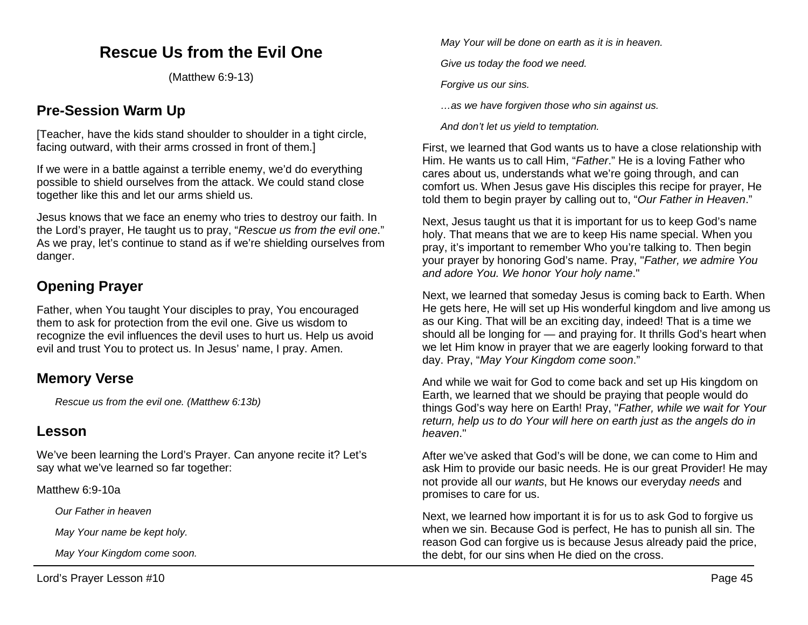# **Rescue Us from the Evil One**

(Matthew 6:9-13)

## **Pre-Session Warm Up**

[Teacher, have the kids stand shoulder to shoulder in a tight circle, facing outward, with their arms crossed in front of them.]

If we were in a battle against a terrible enemy, we'd do everything possible to shield ourselves from the attack. We could stand close together like this and let our arms shield us.

Jesus knows that we face an enemy who tries to destroy our faith. In the Lord's prayer, He taught us to pray, "*Rescue us from the evil one*." As we pray, let's continue to stand as if we're shielding ourselves from danger.

# **Opening Prayer**

Father, when You taught Your disciples to pray, You encouraged them to ask for protection from the evil one. Give us wisdom to recognize the evil influences the devil uses to hurt us. Help us avoid evil and trust You to protect us. In Jesus' name, I pray. Amen.

## **Memory Verse**

*Rescue us from the evil one. (Matthew 6:13b)*

### **Lesson**

We've been learning the Lord's Prayer. Can anyone recite it? Let's say what we've learned so far together:

Matthew 6:9-10a

*Our Father in heaven*

*May Your name be kept holy.*

*May Your Kingdom come soon.*

*May Your will be done on earth as it is in heaven.*

*Give us today the food we need.*

*Forgive us our sins.*

*…as we have forgiven those who sin against us.*

*And don't let us yield to temptation.*

First, we learned that God wants us to have a close relationship with Him. He wants us to call Him, "*Father*." He is a loving Father who cares about us, understands what we're going through, and can comfort us. When Jesus gave His disciples this recipe for prayer, He told them to begin prayer by calling out to, "*Our Father in Heaven*."

Next, Jesus taught us that it is important for us to keep God's name holy. That means that we are to keep His name special. When you pray, it's important to remember Who you're talking to. Then begin your prayer by honoring God's name. Pray, "*Father, we admire You and adore You. We honor Your holy name*."

Next, we learned that someday Jesus is coming back to Earth. When He gets here, He will set up His wonderful kingdom and live among us as our King. That will be an exciting day, indeed! That is a time we should all be longing for — and praying for. It thrills God's heart when we let Him know in prayer that we are eagerly looking forward to that day. Pray, "*May Your Kingdom come soon*."

And while we wait for God to come back and set up His kingdom on Earth, we learned that we should be praying that people would do things God's way here on Earth! Pray, "*Father, while we wait for Your return, help us to do Your will here on earth just as the angels do in heaven*."

After we've asked that God's will be done, we can come to Him and ask Him to provide our basic needs. He is our great Provider! He may not provide all our *wants*, but He knows our everyday *needs* and promises to care for us.

Next, we learned how important it is for us to ask God to forgive us when we sin. Because God is perfect, He has to punish all sin. The reason God can forgive us is because Jesus already paid the price, the debt, for our sins when He died on the cross.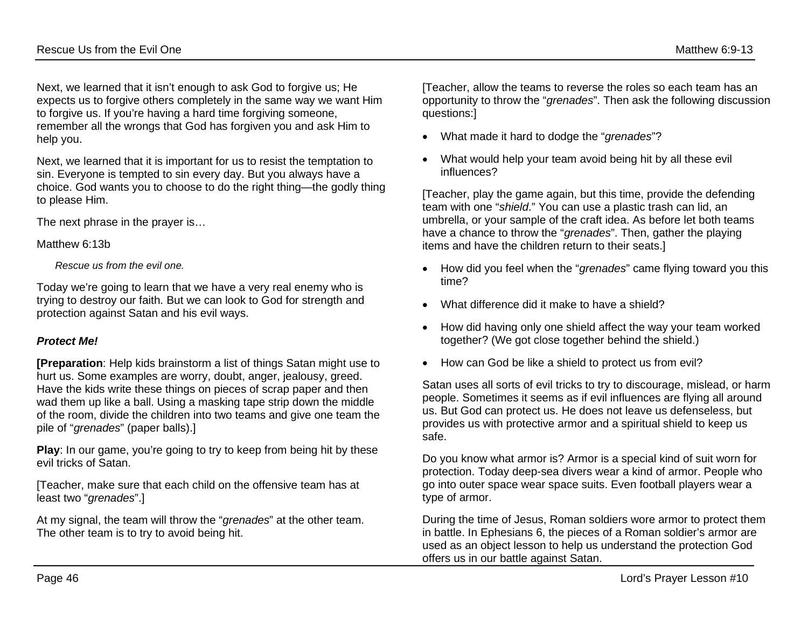Next, we learned that it isn't enough to ask God to forgive us; He expects us to forgive others completely in the same way we want Him to forgive us. If you're having a hard time forgiving someone, remember all the wrongs that God has forgiven you and ask Him to help you.

Next, we learned that it is important for us to resist the temptation to sin. Everyone is tempted to sin every day. But you always have a choice. God wants you to choose to do the right thing—the godly thing to please Him.

The next phrase in the prayer is…

Matthew 6:13b

*Rescue us from the evil one.*

Today we're going to learn that we have a very real enemy who is trying to destroy our faith. But we can look to God for strength and protection against Satan and his evil ways.

### *Protect Me!*

**[Preparation**: Help kids brainstorm a list of things Satan might use to hurt us. Some examples are worry, doubt, anger, jealousy, greed. Have the kids write these things on pieces of scrap paper and then wad them up like a ball. Using a masking tape strip down the middle of the room, divide the children into two teams and give one team the pile of "*grenades*" (paper balls).]

**Play:** In our game, you're going to try to keep from being hit by these evil tricks of Satan.

[Teacher, make sure that each child on the offensive team has at least two "*grenades*".]

At my signal, the team will throw the "*grenades*" at the other team. The other team is to try to avoid being hit.

[Teacher, allow the teams to reverse the roles so each team has an opportunity to throw the "*grenades*". Then ask the following discussion questions:]

- What made it hard to dodge the "*grenades*"?
- What would help your team avoid being hit by all these evil influences?

[Teacher, play the game again, but this time, provide the defending team with one "*shield*." You can use a plastic trash can lid, an umbrella, or your sample of the craft idea. As before let both teams have a chance to throw the "*grenades*". Then, gather the playing items and have the children return to their seats.]

- How did you feel when the "*grenades*" came flying toward you this time?
- What difference did it make to have a shield?
- How did having only one shield affect the way your team worked together? (We got close together behind the shield.)
- How can God be like a shield to protect us from evil?

Satan uses all sorts of evil tricks to try to discourage, mislead, or harm people. Sometimes it seems as if evil influences are flying all around us. But God can protect us. He does not leave us defenseless, but provides us with protective armor and a spiritual shield to keep us safe.

Do you know what armor is? Armor is a special kind of suit worn for protection. Today deep-sea divers wear a kind of armor. People who go into outer space wear space suits. Even football players wear a type of armor.

During the time of Jesus, Roman soldiers wore armor to protect them in battle. In Ephesians 6, the pieces of a Roman soldier's armor are used as an object lesson to help us understand the protection God offers us in our battle against Satan.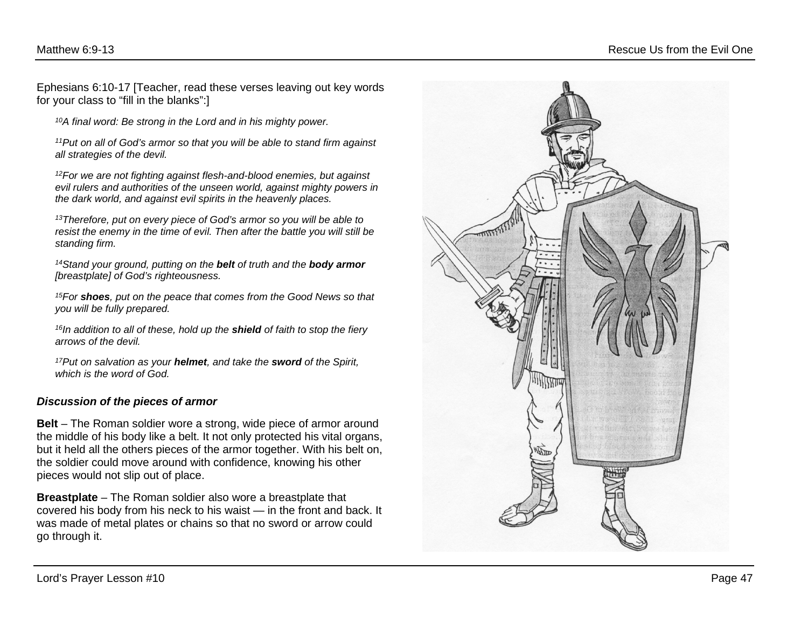Ephesians 6:10-17 [Teacher, read these verses leaving out key words for your class to "fill in the blanks":]

*10A final word: Be strong in the Lord and in his mighty power.* 

*11Put on all of God's armor so that you will be able to stand firm against all strategies of the devil.* 

*12For we are not fighting against flesh-and-blood enemies, but against evil rulers and authorities of the unseen world, against mighty powers in the dark world, and against evil spirits in the heavenly places.*

*13Therefore, put on every piece of God's armor so you will be able to resist the enemy in the time of evil. Then after the battle you will still be standing firm.* 

*14Stand your ground, putting on the belt of truth and the body armor [breastplate] of God's righteousness.* 

*15For shoes, put on the peace that comes from the Good News so that you will be fully prepared.* 

*16In addition to all of these, hold up the shield of faith to stop the fiery arrows of the devil.* 

*17Put on salvation as your helmet, and take the sword of the Spirit, which is the word of God.*

#### *Discussion of the pieces of armor*

**Belt** – The Roman soldier wore a strong, wide piece of armor around the middle of his body like a belt. It not only protected his vital organs, but it held all the others pieces of the armor together. With his belt on, the soldier could move around with confidence, knowing his other pieces would not slip out of place.

**Breastplate** – The Roman soldier also wore a breastplate that covered his body from his neck to his waist — in the front and back. It was made of metal plates or chains so that no sword or arrow could go through it.

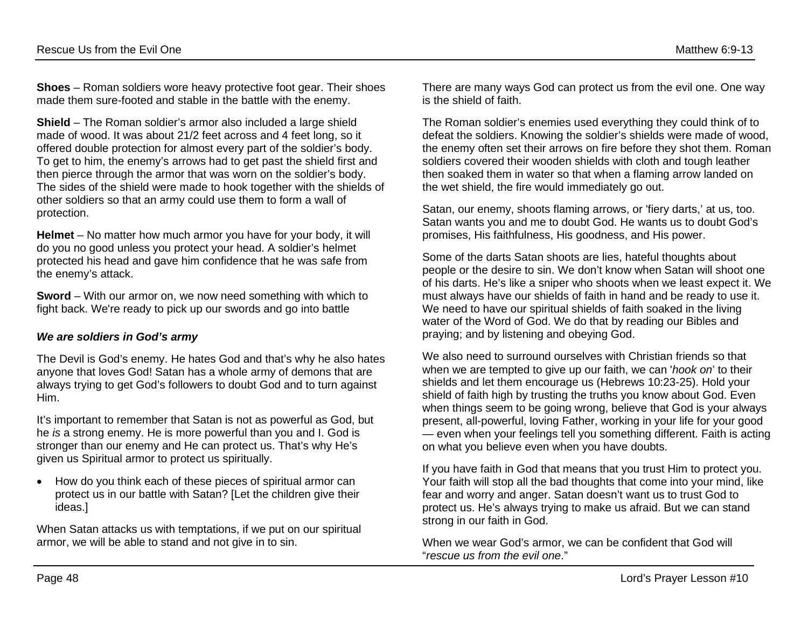**Shoes** – Roman soldiers wore heavy protective foot gear. Their shoes made them sure-footed and stable in the battle with the enemy.

**Shield** – The Roman soldier's armor also included a large shield made of wood. It was about 21/2 feet across and 4 feet long, so it offered double protection for almost every part of the soldier's body. To get to him, the enemy's arrows had to get past the shield first and then pierce through the armor that was worn on the soldier's body. The sides of the shield were made to hook together with the shields of other soldiers so that an army could use them to form a wall of protection.

**Helmet** – No matter how much armor you have for your body, it will do you no good unless you protect your head. A soldier's helmet protected his head and gave him confidence that he was safe from the enemy's attack.

**Sword** – With our armor on, we now need something with which to fight back. We're ready to pick up our swords and go into battle

#### *We are soldiers in God's army*

The Devil is God's enemy. He hates God and that's why he also hates anyone that loves God! Satan has a whole army of demons that are always trying to get God's followers to doubt God and to turn against Him.

It's important to remember that Satan is not as powerful as God, but he *is* a strong enemy. He is more powerful than you and I. God is stronger than our enemy and He can protect us. That's why He's given us Spiritual armor to protect us spiritually.

• How do you think each of these pieces of spiritual armor can protect us in our battle with Satan? [Let the children give their ideas.]

When Satan attacks us with temptations, if we put on our spiritual armor, we will be able to stand and not give in to sin.

There are many ways God can protect us from the evil one. One way is the shield of faith.

The Roman soldier's enemies used everything they could think of to defeat the soldiers. Knowing the soldier's shields were made of wood, the enemy often set their arrows on fire before they shot them. Roman soldiers covered their wooden shields with cloth and tough leather then soaked them in water so that when a flaming arrow landed on the wet shield, the fire would immediately go out.

Satan, our enemy, shoots flaming arrows, or 'fiery darts,' at us, too. Satan wants you and me to doubt God. He wants us to doubt God's promises, His faithfulness, His goodness, and His power.

Some of the darts Satan shoots are lies, hateful thoughts about people or the desire to sin. We don't know when Satan will shoot one of his darts. He's like a sniper who shoots when we least expect it. We must always have our shields of faith in hand and be ready to use it. We need to have our spiritual shields of faith soaked in the living water of the Word of God. We do that by reading our Bibles and praying; and by listening and obeying God.

We also need to surround ourselves with Christian friends so that when we are tempted to give up our faith, we can '*hook on*' to their shields and let them encourage us (Hebrews 10:23-25). Hold your shield of faith high by trusting the truths you know about God. Even when things seem to be going wrong, believe that God is your always present, all-powerful, loving Father, working in your life for your good — even when your feelings tell you something different. Faith is acting on what you believe even when you have doubts.

If you have faith in God that means that you trust Him to protect you. Your faith will stop all the bad thoughts that come into your mind, like fear and worry and anger. Satan doesn't want us to trust God to protect us. He's always trying to make us afraid. But we can stand strong in our faith in God.

When we wear God's armor, we can be confident that God will "*rescue us from the evil one*."